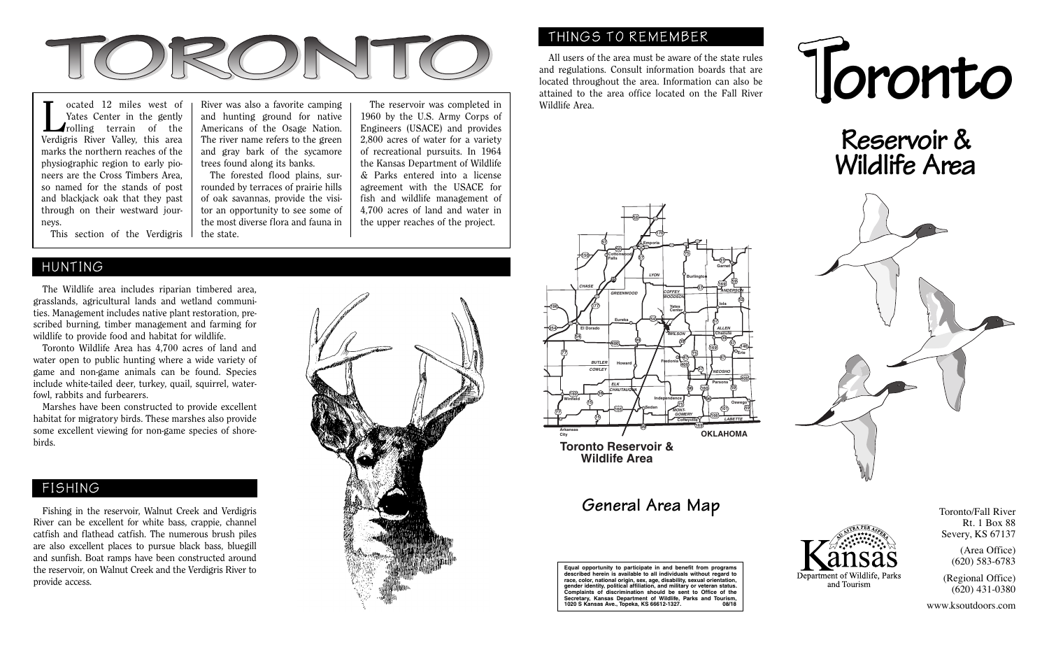

Cocated 12 miles west of<br>
Yates Center in the gently<br>
rolling terrain of the<br>
Vardiania Binar Vallau this area Yates Center in the gently Verdigris River Valley, this area marks the northern reaches of the physiographic region to early pioneers are the Cross Timbers Area, so named for the stands of post and blackjack oak that they past through on their westward journeys.

This section of the Verdigris

River was also a favorite camping and hunting ground for native Americans of the Osage Nation. The river name refers to the green and gray bark of the sycamore trees found along its banks.

 of oak savannas, provide the visi-The forested flood plains, surrounded by terraces of prairie hills tor an opportunity to see some of the most diverse flora and fauna in the state.

 Engineers (USACE) and provides The reservoir was completed in 1960 by the U.S. Army Corps of 2,800 acres of water for a variety of recreational pursuits. In 1964 the Kansas Department of Wildlife & Parks entered into a license agreement with the USACE for fish and wildlife management of 4,700 acres of land and water in the upper reaches of the project.

## HUNTING

 The Wildlife area includes riparian timbered area, grasslands, agricultural lands and wetland communities. Management includes native plant restoration, prescribed burning, timber management and farming for wildlife to provide food and habitat for wildlife.

 Toronto Wildlife Area has 4,700 acres of land and water open to public hunting where a wide variety of game and non-game animals can be found. Species include white-tailed deer, turkey, quail, squirrel, waterfowl, rabbits and furbearers.

 Marshes have been constructed to provide excellent habitat for migratory birds. These marshes also provide some excellent viewing for non-game species of shorebirds.

## FISHING

 Fishing in the reservoir, Walnut Creek and Verdigris River can be excellent for white bass, crappie, channel catfish and flathead catfish. The numerous brush piles are also excellent places to pursue black bass, bluegill and sunfish. Boat ramps have been constructed around the reservoir, on Walnut Creek and the Verdigris River to provide access.



## THINGS TO REMEMBER

 All users of the area must be aware of the state rules and regulations. Consult information boards that are located throughout the area. Information can also be attained to the area office located on the Fall River Wildlife Area.



**Reservoir & Wildlife Area**



## **General Area Map** Toronto/Fall River

**City**

**254**

**196**

**Equal opportunity to participate in and benefit from programs described herein is available to all individuals without regard to race, color, national origin, sex, age, disability, sexual orientation, gender identity, political affiliation, and military or veteran status. Complaints of discrimination should be sent to Office of the Secretary, Kansas Department of Wildlife, Parks and Tourism, 1020 S Kansas Ave., Topeka, KS 66612-1327. 08/18**

Rt. 1 Box 88 Severy, KS 67137

> (Area Office) (620) 583-6783

(Regional Office) (620) 431-0380

www.ksoutdoors.com

Denartment of Wildlife. Park and Tourism